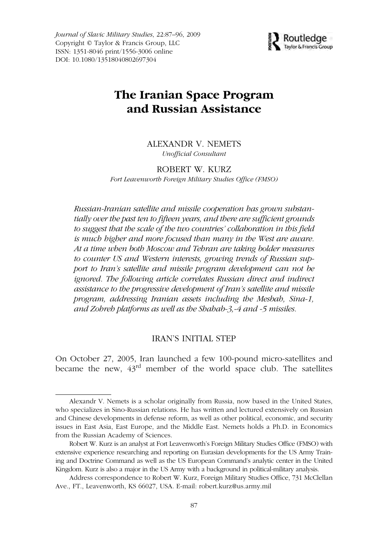*Journal of Slavic Military Studies*, 22:87–96, 2009 Copyright © Taylor & Francis Group, LLC ISSN: 1351-8046 print/1556-3006 online DOI: 10.1080/13518040802697304



# **The Iranian Space Program and Russian Assistance**

ALEXANDR V. NEMETS *Unofficial Consultant*

ROBERT W. KURZ *Fort Leavenworth Foreign Military Studies Office (FMSO)*

*Russian-Iranian satellite and missile cooperation has grown substantially over the past ten to fifteen years, and there are sufficient grounds to suggest that the scale of the two countries' collaboration in this field is much higher and more focused than many in the West are aware. At a time when both Moscow and Tehran are taking bolder measures to counter US and Western interests, growing trends of Russian support to Iran's satellite and missile program development can not be ignored. The following article correlates Russian direct and indirect assistance to the progressive development of Iran's satellite and missile program, addressing Iranian assets including the Mesbah, Sina-1, and Zohreh platforms as well as the Shahab-3,-4 and -5 missiles.*

#### IRAN'S INITIAL STEP

On October 27, 2005, Iran launched a few 100-pound micro-satellites and became the new, 43rd member of the world space club. The satellites

Alexandr V. Nemets is a scholar originally from Russia, now based in the United States, who specializes in Sino-Russian relations. He has written and lectured extensively on Russian and Chinese developments in defense reform, as well as other political, economic, and security issues in East Asia, East Europe, and the Middle East. Nemets holds a Ph.D. in Economics from the Russian Academy of Sciences.

Robert W. Kurz is an analyst at Fort Leavenworth's Foreign Military Studies Office (FMSO) with extensive experience researching and reporting on Eurasian developments for the US Army Training and Doctrine Command as well as the US European Command's analytic center in the United Kingdom. Kurz is also a major in the US Army with a background in political-military analysis.

Address correspondence to Robert W. Kurz, Foreign Military Studies Office, 731 McClellan Ave., FT., Leavenworth, KS 66027, USA. E-mail: robert.kurz@us.army.mil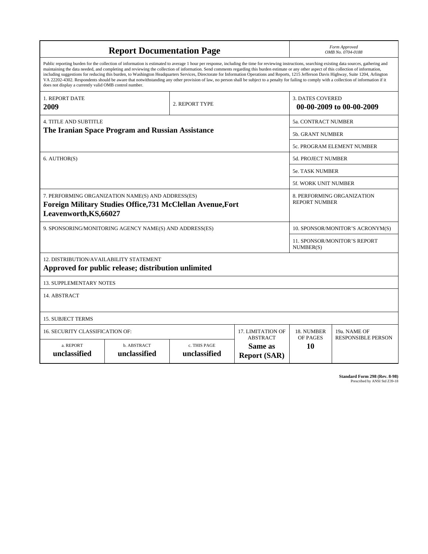| <b>Report Documentation Page</b>                                                                                                                                                                                                                                                                                                                                                                                                                                                                                                                                                                                                                                                                                                                                                                                                                                   |                                    |                              |                                                   | Form Approved<br>OMB No. 0704-0188                  |                           |
|--------------------------------------------------------------------------------------------------------------------------------------------------------------------------------------------------------------------------------------------------------------------------------------------------------------------------------------------------------------------------------------------------------------------------------------------------------------------------------------------------------------------------------------------------------------------------------------------------------------------------------------------------------------------------------------------------------------------------------------------------------------------------------------------------------------------------------------------------------------------|------------------------------------|------------------------------|---------------------------------------------------|-----------------------------------------------------|---------------------------|
| Public reporting burden for the collection of information is estimated to average 1 hour per response, including the time for reviewing instructions, searching existing data sources, gathering and<br>maintaining the data needed, and completing and reviewing the collection of information. Send comments regarding this burden estimate or any other aspect of this collection of information,<br>including suggestions for reducing this burden, to Washington Headquarters Services, Directorate for Information Operations and Reports, 1215 Jefferson Davis Highway, Suite 1204, Arlington<br>VA 22202-4302. Respondents should be aware that notwithstanding any other provision of law, no person shall be subject to a penalty for failing to comply with a collection of information if it<br>does not display a currently valid OMB control number. |                                    |                              |                                                   |                                                     |                           |
| <b>1. REPORT DATE</b><br>2009                                                                                                                                                                                                                                                                                                                                                                                                                                                                                                                                                                                                                                                                                                                                                                                                                                      |                                    | 2. REPORT TYPE               |                                                   | <b>3. DATES COVERED</b><br>00-00-2009 to 00-00-2009 |                           |
| <b>4. TITLE AND SUBTITLE</b>                                                                                                                                                                                                                                                                                                                                                                                                                                                                                                                                                                                                                                                                                                                                                                                                                                       |                                    |                              |                                                   | 5a. CONTRACT NUMBER                                 |                           |
| The Iranian Space Program and Russian Assistance                                                                                                                                                                                                                                                                                                                                                                                                                                                                                                                                                                                                                                                                                                                                                                                                                   |                                    |                              |                                                   | <b>5b. GRANT NUMBER</b>                             |                           |
|                                                                                                                                                                                                                                                                                                                                                                                                                                                                                                                                                                                                                                                                                                                                                                                                                                                                    |                                    |                              |                                                   | 5c. PROGRAM ELEMENT NUMBER                          |                           |
| 6. AUTHOR(S)                                                                                                                                                                                                                                                                                                                                                                                                                                                                                                                                                                                                                                                                                                                                                                                                                                                       |                                    |                              |                                                   | <b>5d. PROJECT NUMBER</b>                           |                           |
|                                                                                                                                                                                                                                                                                                                                                                                                                                                                                                                                                                                                                                                                                                                                                                                                                                                                    |                                    |                              |                                                   | 5e. TASK NUMBER                                     |                           |
|                                                                                                                                                                                                                                                                                                                                                                                                                                                                                                                                                                                                                                                                                                                                                                                                                                                                    |                                    |                              |                                                   | 5f. WORK UNIT NUMBER                                |                           |
| 7. PERFORMING ORGANIZATION NAME(S) AND ADDRESS(ES)<br>Foreign Military Studies Office, 731 McClellan Avenue, Fort<br>Leavenworth, KS, 66027                                                                                                                                                                                                                                                                                                                                                                                                                                                                                                                                                                                                                                                                                                                        |                                    |                              |                                                   | 8. PERFORMING ORGANIZATION<br><b>REPORT NUMBER</b>  |                           |
| 9. SPONSORING/MONITORING AGENCY NAME(S) AND ADDRESS(ES)                                                                                                                                                                                                                                                                                                                                                                                                                                                                                                                                                                                                                                                                                                                                                                                                            |                                    |                              |                                                   | 10. SPONSOR/MONITOR'S ACRONYM(S)                    |                           |
|                                                                                                                                                                                                                                                                                                                                                                                                                                                                                                                                                                                                                                                                                                                                                                                                                                                                    |                                    |                              |                                                   | 11. SPONSOR/MONITOR'S REPORT<br>NUMBER(S)           |                           |
| 12. DISTRIBUTION/AVAILABILITY STATEMENT<br>Approved for public release; distribution unlimited                                                                                                                                                                                                                                                                                                                                                                                                                                                                                                                                                                                                                                                                                                                                                                     |                                    |                              |                                                   |                                                     |                           |
| <b>13. SUPPLEMENTARY NOTES</b>                                                                                                                                                                                                                                                                                                                                                                                                                                                                                                                                                                                                                                                                                                                                                                                                                                     |                                    |                              |                                                   |                                                     |                           |
| 14. ABSTRACT                                                                                                                                                                                                                                                                                                                                                                                                                                                                                                                                                                                                                                                                                                                                                                                                                                                       |                                    |                              |                                                   |                                                     |                           |
| <b>15. SUBJECT TERMS</b>                                                                                                                                                                                                                                                                                                                                                                                                                                                                                                                                                                                                                                                                                                                                                                                                                                           |                                    |                              |                                                   |                                                     |                           |
| 16. SECURITY CLASSIFICATION OF:                                                                                                                                                                                                                                                                                                                                                                                                                                                                                                                                                                                                                                                                                                                                                                                                                                    | 17. LIMITATION OF                  | 18. NUMBER                   | 19a. NAME OF                                      |                                                     |                           |
| a. REPORT<br>unclassified                                                                                                                                                                                                                                                                                                                                                                                                                                                                                                                                                                                                                                                                                                                                                                                                                                          | <b>b. ABSTRACT</b><br>unclassified | c. THIS PAGE<br>unclassified | <b>ABSTRACT</b><br>Same as<br><b>Report (SAR)</b> | OF PAGES<br>10                                      | <b>RESPONSIBLE PERSON</b> |

**Standard Form 298 (Rev. 8-98)**<br>Prescribed by ANSI Std Z39-18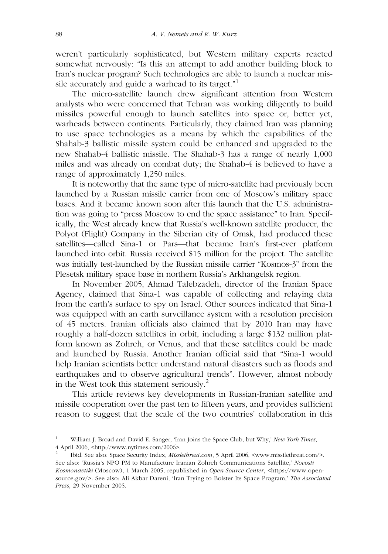weren't particularly sophisticated, but Western military experts reacted somewhat nervously: "Is this an attempt to add another building block to Iran's nuclear program? Such technologies are able to launch a nuclear missile accurately and guide a warhead to its target. $1$ 

The micro-satellite launch drew significant attention from Western analysts who were concerned that Tehran was working diligently to build missiles powerful enough to launch satellites into space or, better yet, warheads between continents. Particularly, they claimed Iran was planning to use space technologies as a means by which the capabilities of the Shahab-3 ballistic missile system could be enhanced and upgraded to the new Shahab-4 ballistic missile. The Shahab-3 has a range of nearly 1,000 miles and was already on combat duty; the Shahab-4 is believed to have a range of approximately 1,250 miles.

It is noteworthy that the same type of micro-satellite had previously been launched by a Russian missile carrier from one of Moscow's military space bases. And it became known soon after this launch that the U.S. administration was going to "press Moscow to end the space assistance" to Iran. Specifically, the West already knew that Russia's well-known satellite producer, the Polyot (Flight) Company in the Siberian city of Omsk, had produced these satellites—called Sina-1 or Pars—that became Iran's first-ever platform launched into orbit. Russia received \$15 million for the project. The satellite was initially test-launched by the Russian missile carrier "Kosmos-3" from the Plesetsk military space base in northern Russia's Arkhangelsk region.

In November 2005, Ahmad Talebzadeh, director of the Iranian Space Agency, claimed that Sina-1 was capable of collecting and relaying data from the earth's surface to spy on Israel. Other sources indicated that Sina-1 was equipped with an earth surveillance system with a resolution precision of 45 meters. Iranian officials also claimed that by 2010 Iran may have roughly a half-dozen satellites in orbit, including a large \$132 million platform known as Zohreh, or Venus, and that these satellites could be made and launched by Russia. Another Iranian official said that "Sina-1 would help Iranian scientists better understand natural disasters such as floods and earthquakes and to observe agricultural trends". However, almost nobody in the West took this statement seriously. $^{2}$ 

This article reviews key developments in Russian-Iranian satellite and missile cooperation over the past ten to fifteen years, and provides sufficient reason to suggest that the scale of the two countries' collaboration in this

<sup>1</sup> William J. Broad and David E. Sanger, 'Iran Joins the Space Club, but Why,' *New York Times*, 4 April 2006, <http://www.nytimes.com/2006>.

<sup>2</sup> Ibid. See also: Space Security Index, *Misslethreat.com*, 5 April 2006, <www.missilethreat.com/>. See also: 'Russia's NPO PM to Manufacture Iranian Zohreh Communications Satellite,' *Novosti Kosmonavtiki* (Moscow), 1 March 2005, republished in *Open Source Center*, <https://www.opensource.gov/>. See also: Ali Akbar Dareni, 'Iran Trying to Bolster Its Space Program,' *The Associated Press*, 29 November 2005.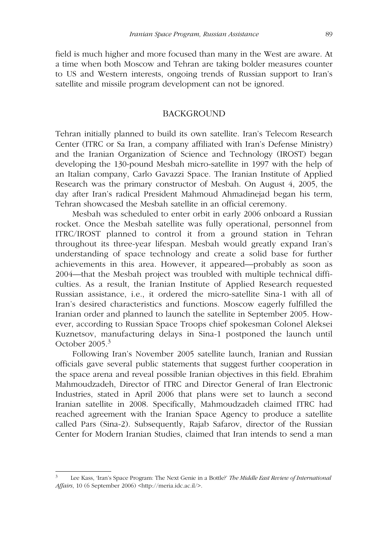field is much higher and more focused than many in the West are aware. At a time when both Moscow and Tehran are taking bolder measures counter to US and Western interests, ongoing trends of Russian support to Iran's satellite and missile program development can not be ignored.

#### BACKGROUND

Tehran initially planned to build its own satellite. Iran's Telecom Research Center (ITRC or Sa Iran, a company affiliated with Iran's Defense Ministry) and the Iranian Organization of Science and Technology (IROST) began developing the 130-pound Mesbah micro-satellite in 1997 with the help of an Italian company, Carlo Gavazzi Space. The Iranian Institute of Applied Research was the primary constructor of Mesbah. On August 4, 2005, the day after Iran's radical President Mahmoud Ahmadinejad began his term, Tehran showcased the Mesbah satellite in an official ceremony.

Mesbah was scheduled to enter orbit in early 2006 onboard a Russian rocket. Once the Mesbah satellite was fully operational, personnel from ITRC/IROST planned to control it from a ground station in Tehran throughout its three-year lifespan. Mesbah would greatly expand Iran's understanding of space technology and create a solid base for further achievements in this area. However, it appeared—probably as soon as 2004—that the Mesbah project was troubled with multiple technical difficulties. As a result, the Iranian Institute of Applied Research requested Russian assistance, i.e., it ordered the micro-satellite Sina-1 with all of Iran's desired characteristics and functions. Moscow eagerly fulfilled the Iranian order and planned to launch the satellite in September 2005. However, according to Russian Space Troops chief spokesman Colonel Aleksei Kuznetsov, manufacturing delays in Sina-1 postponed the launch until October 2005.<sup>3</sup>

Following Iran's November 2005 satellite launch, Iranian and Russian officials gave several public statements that suggest further cooperation in the space arena and reveal possible Iranian objectives in this field. Ebrahim Mahmoudzadeh, Director of ITRC and Director General of Iran Electronic Industries, stated in April 2006 that plans were set to launch a second Iranian satellite in 2008. Specifically, Mahmoudzadeh claimed ITRC had reached agreement with the Iranian Space Agency to produce a satellite called Pars (Sina-2). Subsequently, Rajab Safarov, director of the Russian Center for Modern Iranian Studies, claimed that Iran intends to send a man

<sup>3</sup> Lee Kass, 'Iran's Space Program: The Next Genie in a Bottle?' *The Middle East Review of International Affairs*, 10 (6 September 2006) <http://meria.idc.ac.il/>.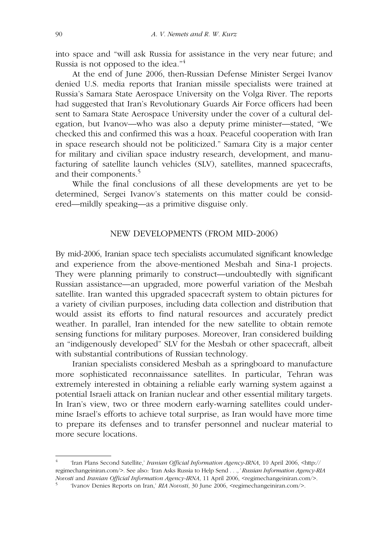into space and "will ask Russia for assistance in the very near future; and Russia is not opposed to the idea."<sup>4</sup>

At the end of June 2006, then-Russian Defense Minister Sergei Ivanov denied U.S. media reports that Iranian missile specialists were trained at Russia's Samara State Aerospace University on the Volga River. The reports had suggested that Iran's Revolutionary Guards Air Force officers had been sent to Samara State Aerospace University under the cover of a cultural delegation, but Ivanov—who was also a deputy prime minister—stated, "We checked this and confirmed this was a hoax. Peaceful cooperation with Iran in space research should not be politicized." Samara City is a major center for military and civilian space industry research, development, and manufacturing of satellite launch vehicles (SLV), satellites, manned spacecrafts, and their components.<sup>5</sup>

While the final conclusions of all these developments are yet to be determined, Sergei Ivanov's statements on this matter could be considered—mildly speaking—as a primitive disguise only.

#### NEW DEVELOPMENTS (FROM MID-2006)

By mid-2006, Iranian space tech specialists accumulated significant knowledge and experience from the above-mentioned Mesbah and Sina-1 projects. They were planning primarily to construct—undoubtedly with significant Russian assistance—an upgraded, more powerful variation of the Mesbah satellite. Iran wanted this upgraded spacecraft system to obtain pictures for a variety of civilian purposes, including data collection and distribution that would assist its efforts to find natural resources and accurately predict weather. In parallel, Iran intended for the new satellite to obtain remote sensing functions for military purposes. Moreover, Iran considered building an "indigenously developed" SLV for the Mesbah or other spacecraft, albeit with substantial contributions of Russian technology.

Iranian specialists considered Mesbah as a springboard to manufacture more sophisticated reconnaissance satellites. In particular, Tehran was extremely interested in obtaining a reliable early warning system against a potential Israeli attack on Iranian nuclear and other essential military targets. In Iran's view, two or three modern early-warning satellites could undermine Israel's efforts to achieve total surprise, as Iran would have more time to prepare its defenses and to transfer personnel and nuclear material to more secure locations.

<sup>4</sup> 'Iran Plans Second Satellite,' *Iranian Official Information Agency*-*IRNA*, 10 April 2006, <http:// regimechangeiniran.com/>. See also: 'Iran Asks Russia to Help Send *. . .,' Russian Information Agency-RIA Novosti* and *Iranian Official Information Agency-IRNA*, 11 April 2006, <regimechangeiniran.com/>.

<sup>&#</sup>x27;Ivanov Denies Reports on Iran,' *RIA Novosti*, 30 June 2006, <regimechangeiniran.com/>.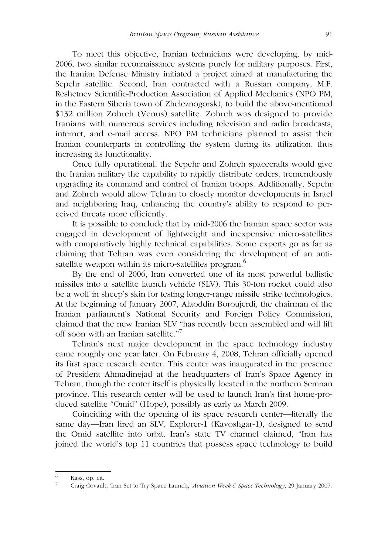To meet this objective, Iranian technicians were developing, by mid-2006, two similar reconnaissance systems purely for military purposes. First, the Iranian Defense Ministry initiated a project aimed at manufacturing the Sepehr satellite. Second, Iran contracted with a Russian company, M.F. Reshetnev Scientific-Production Association of Applied Mechanics (NPO PM, in the Eastern Siberia town of Zheleznogorsk), to build the above-mentioned \$132 million Zohreh (Venus) satellite. Zohreh was designed to provide Iranians with numerous services including television and radio broadcasts, internet, and e-mail access. NPO PM technicians planned to assist their Iranian counterparts in controlling the system during its utilization, thus increasing its functionality.

Once fully operational, the Sepehr and Zohreh spacecrafts would give the Iranian military the capability to rapidly distribute orders, tremendously upgrading its command and control of Iranian troops. Additionally, Sepehr and Zohreh would allow Tehran to closely monitor developments in Israel and neighboring Iraq, enhancing the country's ability to respond to perceived threats more efficiently.

It is possible to conclude that by mid-2006 the Iranian space sector was engaged in development of lightweight and inexpensive micro-satellites with comparatively highly technical capabilities. Some experts go as far as claiming that Tehran was even considering the development of an antisatellite weapon within its micro-satellites program.<sup>6</sup>

By the end of 2006, Iran converted one of its most powerful ballistic missiles into a satellite launch vehicle (SLV). This 30-ton rocket could also be a wolf in sheep's skin for testing longer-range missile strike technologies. At the beginning of January 2007, Alaoddin Boroujerdi, the chairman of the Iranian parliament's National Security and Foreign Policy Commission, claimed that the new Iranian SLV "has recently been assembled and will lift off soon with an Iranian satellite."<sup>7</sup>

Tehran's next major development in the space technology industry came roughly one year later. On February 4, 2008, Tehran officially opened its first space research center. This center was inaugurated in the presence of President Ahmadinejad at the headquarters of Iran's Space Agency in Tehran, though the center itself is physically located in the northern Semnan province. This research center will be used to launch Iran's first home-produced satellite "Omid" (Hope), possibly as early as March 2009.

Coinciding with the opening of its space research center—literally the same day—Iran fired an SLV, Explorer-1 (Kavoshgar-1), designed to send the Omid satellite into orbit. Iran's state TV channel claimed, "Iran has joined the world's top 11 countries that possess space technology to build

<sup>&</sup>lt;sup>6</sup> Kass, op. cit.

<sup>7</sup> Craig Covault, 'Iran Set to Try Space Launch,' *Aviation Week & Space Technology*, 29 January 2007.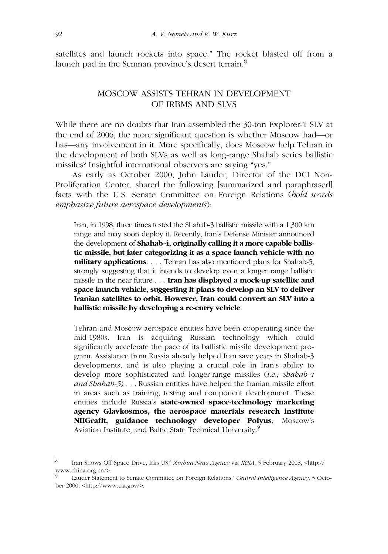satellites and launch rockets into space." The rocket blasted off from a launch pad in the Semnan province's desert terrain.<sup>8</sup>

## MOSCOW ASSISTS TEHRAN IN DEVELOPMENT OF IRBMS AND SLVS

While there are no doubts that Iran assembled the 30-ton Explorer-1 SLV at the end of 2006, the more significant question is whether Moscow had—or has—any involvement in it. More specifically, does Moscow help Tehran in the development of both SLVs as well as long-range Shahab series ballistic missiles? Insightful international observers are saying "yes."

As early as October 2000, John Lauder, Director of the DCI Non-Proliferation Center, shared the following [summarized and paraphrased] facts with the U.S. Senate Committee on Foreign Relations (*bold words emphasize future aerospace developments*):

Iran, in 1998, three times tested the Shahab-3 ballistic missile with a 1,300 km range and may soon deploy it. Recently, Iran's Defense Minister announced the development of **Shahab-4, originally calling it a more capable ballistic missile, but later categorizing it as a space launch vehicle with no military applications**. . . . Tehran has also mentioned plans for Shahab-5, strongly suggesting that it intends to develop even a longer range ballistic missile in the near future . . . **Iran has displayed a mock-up satellite and space launch vehicle, suggesting it plans to develop an SLV to deliver Iranian satellites to orbit. However, Iran could convert an SLV into a ballistic missile by developing a re-entry vehicle**.

Tehran and Moscow aerospace entities have been cooperating since the mid-1980s. Iran is acquiring Russian technology which could significantly accelerate the pace of its ballistic missile development program. Assistance from Russia already helped Iran save years in Shahab-3 developments, and is also playing a crucial role in Iran's ability to develop more sophisticated and longer-range missiles (*i.e.; Shahab-4 and Shahab-5*) . . . Russian entities have helped the Iranian missile effort in areas such as training, testing and component development. These entities include Russia's **state-owned space-technology marketing agency Glavkosmos, the aerospace materials research institute NIIGrafit, guidance technology developer Polyus**, Moscow's Aviation Institute, and Baltic State Technical University.<sup>9</sup>

<sup>8</sup> 'Iran Shows Off Space Drive, Irks US,' *Xinhua News Agency* via *IRNA*, 5 February 2008, <http:// www.china.org.cn/>.

<sup>&#</sup>x27;Lauder Statement to Senate Committee on Foreign Relations,' *Central Intelligence Agency*, 5 October 2000, <http://www.cia.gov/>.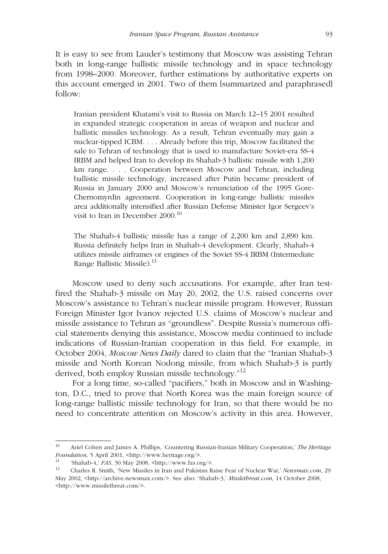It is easy to see from Lauder's testimony that Moscow was assisting Tehran both in long-range ballistic missile technology and in space technology from 1998–2000. Moreover, further estimations by authoritative experts on this account emerged in 2001. Two of them [summarized and paraphrased] follow:

Iranian president Khatami's visit to Russia on March 12–15 2001 resulted in expanded strategic cooperation in areas of weapon and nuclear and ballistic missiles technology. As a result, Tehran eventually may gain a nuclear-tipped ICBM. . . . Already before this trip, Moscow facilitated the sale to Tehran of technology that is used to manufacture Soviet-era SS-4 IRBM and helped Iran to develop its Shahab-3 ballistic missile with 1,200 km range. . . . Cooperation between Moscow and Tehran, including ballistic missile technology, increased after Putin became president of Russia in January 2000 and Moscow's renunciation of the 1995 Gore-Chernomyrdin agreement. Cooperation in long-range ballistic missiles area additionally intensified after Russian Defense Minister Igor Sergeev's visit to Iran in December 2000.<sup>10</sup>

The Shahab-4 ballistic missile has a range of 2,200 km and 2,890 km. Russia definitely helps Iran in Shahab-4 development. Clearly, Shahab-4 utilizes missile airframes or engines of the Soviet SS-4 IRBM (Intermediate Range Ballistic Missile).<sup>11</sup>

Moscow used to deny such accusations. For example, after Iran testfired the Shahab-3 missile on May 20, 2002, the U.S. raised concerns over Moscow's assistance to Tehran's nuclear missile program. However, Russian Foreign Minister Igor Ivanov rejected U.S. claims of Moscow's nuclear and missile assistance to Tehran as "groundless". Despite Russia's numerous official statements denying this assistance, Moscow media continued to include indications of Russian-Iranian cooperation in this field. For example, in October 2004, *Moscow News Daily* dared to claim that the "Iranian Shahab-3 missile and North Korean Nodong missile, from which Shahab-3 is partly derived, both employ Russian missile technology."<sup>12</sup>

For a long time, so-called "pacifiers," both in Moscow and in Washington, D.C., tried to prove that North Korea was the main foreign source of long-range ballistic missile technology for Iran, so that there would be no need to concentrate attention on Moscow's activity in this area. However,

<sup>10</sup> Ariel Cohen and James A. Phillips, 'Countering Russian-Iranian Military Cooperation,' *The Heritage Foundation*, 5 April 2001, <http://www.heritage.org/>.

<sup>11</sup> 'Shahab-4,' *FAS*, 30 May 2008, <http://www.fas.org/>.

<sup>12</sup> Charles R. Smith, 'New Missiles in Iran and Pakistan Raise Fear of Nuclear War,' *Newsmax.com*, 29 May 2002, <http://archive.newsmax.com/>. See also: 'Shahab-3,' *Misslethreat.com*, 14 October 2008, <http://www.missilethreat.com/>.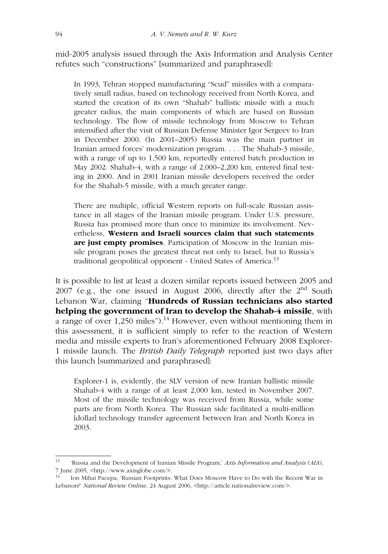mid-2005 analysis issued through the Axis Information and Analysis Center refutes such "constructions" [summarized and paraphrased]:

In 1993, Tehran stopped manufacturing "Scud" missiles with a comparatively small radius, based on technology received from North Korea, and started the creation of its own "Shahab" ballistic missile with a much greater radius, the main components of which are based on Russian technology. The flow of missile technology from Moscow to Tehran intensified after the visit of Russian Defense Minister Igor Sergeev to Iran in December 2000. (In 2001–2005) Russia was the main partner in Iranian armed forces' modernization program. . . . The Shahab-3 missile, with a range of up to 1,500 km, reportedly entered batch production in May 2002. Shahab-4, with a range of 2,000–2,200 km, entered final testing in 2000. And in 2001 Iranian missile developers received the order for the Shahab-5 missile, with a much greater range.

There are multiple, official Western reports on full-scale Russian assistance in all stages of the Iranian missile program. Under U.S. pressure, Russia has promised more than once to minimize its involvement. Nevertheless, **Western and Israeli sources claim that such statements are just empty promises**. Participation of Moscow in the Iranian missile program poses the greatest threat not only to Israel, but to Russia's traditional geopolitical opponent - United States of America.<sup>13</sup>

It is possible to list at least a dozen similar reports issued between 2005 and 2007 (e.g., the one issued in August 2006, directly after the  $2<sup>nd</sup>$  South Lebanon War, claiming "**Hundreds of Russian technicians also started helping the government of Iran to develop the Shahab-4 missile**, with a range of over 1,250 miles").<sup>14</sup> However, even without mentioning them in this assessment, it is sufficient simply to refer to the reaction of Western media and missile experts to Iran's aforementioned February 2008 Explorer-1 missile launch. The *British Daily Telegraph* reported just two days after this launch [summarized and paraphrased]:

Explorer-1 is, evidently, the SLV version of new Iranian ballistic missile Shahab-4 with a range of at least 2,000 km, tested in November 2007. Most of the missile technology was received from Russia, while some parts are from North Korea. The Russian side facilitated a multi-million [dollar] technology transfer agreement between Iran and North Korea in 2003.

<sup>13</sup> 'Russia and the Development of Iranian Missile Program,' *Axis Information and Analysis (AIA*), 7 June 2005, <http://www.axisglobe.com/>.

<sup>14</sup> Ion Mihai Pacepa, 'Russian Footprints: What Does Moscow Have to Do with the Recent War in Lebanon?' *National Review Online*, 24 August 2006, <http://article.nationalreview.com/>.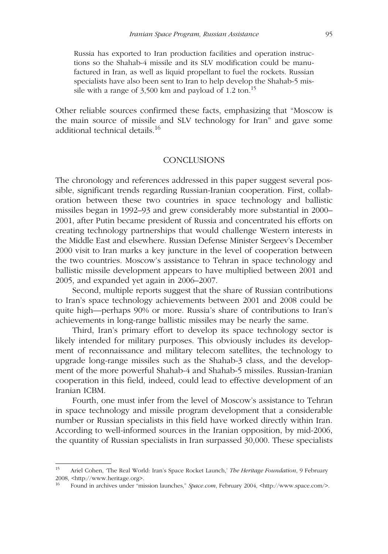Russia has exported to Iran production facilities and operation instructions so the Shahab-4 missile and its SLV modification could be manufactured in Iran, as well as liquid propellant to fuel the rockets. Russian specialists have also been sent to Iran to help develop the Shahab-5 missile with a range of  $3,500$  km and payload of 1.2 ton.<sup>15</sup>

Other reliable sources confirmed these facts, emphasizing that "Moscow is the main source of missile and SLV technology for Iran" and gave some additional technical details.<sup>16</sup>

### **CONCLUSIONS**

The chronology and references addressed in this paper suggest several possible, significant trends regarding Russian-Iranian cooperation. First, collaboration between these two countries in space technology and ballistic missiles began in 1992–93 and grew considerably more substantial in 2000– 2001, after Putin became president of Russia and concentrated his efforts on creating technology partnerships that would challenge Western interests in the Middle East and elsewhere. Russian Defense Minister Sergeev's December 2000 visit to Iran marks a key juncture in the level of cooperation between the two countries. Moscow's assistance to Tehran in space technology and ballistic missile development appears to have multiplied between 2001 and 2005, and expanded yet again in 2006–2007.

Second, multiple reports suggest that the share of Russian contributions to Iran's space technology achievements between 2001 and 2008 could be quite high—perhaps 90% or more. Russia's share of contributions to Iran's achievements in long-range ballistic missiles may be nearly the same.

Third, Iran's primary effort to develop its space technology sector is likely intended for military purposes. This obviously includes its development of reconnaissance and military telecom satellites, the technology to upgrade long-range missiles such as the Shahab-3 class, and the development of the more powerful Shahab-4 and Shahab-5 missiles. Russian-Iranian cooperation in this field, indeed, could lead to effective development of an Iranian ICBM.

Fourth, one must infer from the level of Moscow's assistance to Tehran in space technology and missile program development that a considerable number or Russian specialists in this field have worked directly within Iran. According to well-informed sources in the Iranian opposition, by mid-2006, the quantity of Russian specialists in Iran surpassed 30,000. These specialists

<sup>15</sup> Ariel Cohen, 'The Real World: Iran's Space Rocket Launch,' *The Heritage Foundation*, 9 February 2008, <http://www.heritage.org>.

<sup>16</sup> Found in archives under "mission launches," *Space.com*, February 2004, <http://www.space.com/>.